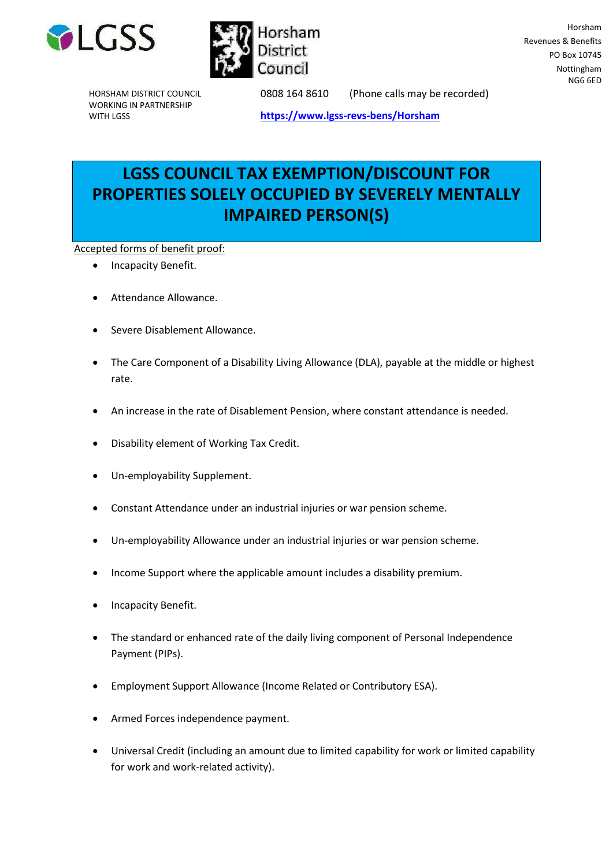



Horsham Revenues & Benefits PO Box 10745 Nottingham NG6 6ED

HORSHAM DISTRICT COUNCIL WORKING IN PARTNERSHIP WITH LGSS

0808 164 8610 (Phone calls may be recorded)

**<https://www.lgss-revs-bens/Horsham>**

# **LGSS COUNCIL TAX EXEMPTION/DISCOUNT FOR PROPERTIES SOLELY OCCUPIED BY SEVERELY MENTALLY IMPAIRED PERSON(S)**

Accepted forms of benefit proof:

- Incapacity Benefit.
- Attendance Allowance.
- Severe Disablement Allowance.
- The Care Component of a Disability Living Allowance (DLA), payable at the middle or highest rate.
- An increase in the rate of Disablement Pension, where constant attendance is needed.
- Disability element of Working Tax Credit.
- Un-employability Supplement.
- Constant Attendance under an industrial injuries or war pension scheme.
- Un-employability Allowance under an industrial injuries or war pension scheme.
- Income Support where the applicable amount includes a disability premium.
- Incapacity Benefit.
- The standard or enhanced rate of the daily living component of Personal Independence Payment (PIPs).
- Employment Support Allowance (Income Related or Contributory ESA).
- Armed Forces independence payment.
- Universal Credit (including an amount due to limited capability for work or limited capability for work and work-related activity).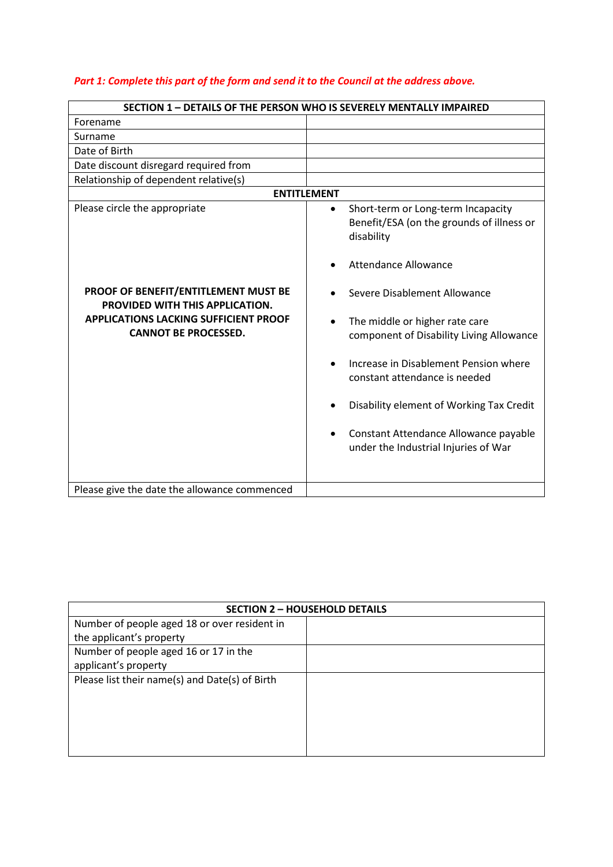### *Part 1: Complete this part of the form and send it to the Council at the address above.*

| <b>SECTION 1 - DETAILS OF THE PERSON WHO IS SEVERELY MENTALLY IMPAIRED</b>                                                                                                              |                                                                                                                                                                                                                                                                                                                                                                                                                                                                                          |
|-----------------------------------------------------------------------------------------------------------------------------------------------------------------------------------------|------------------------------------------------------------------------------------------------------------------------------------------------------------------------------------------------------------------------------------------------------------------------------------------------------------------------------------------------------------------------------------------------------------------------------------------------------------------------------------------|
| Forename                                                                                                                                                                                |                                                                                                                                                                                                                                                                                                                                                                                                                                                                                          |
| Surname                                                                                                                                                                                 |                                                                                                                                                                                                                                                                                                                                                                                                                                                                                          |
| Date of Birth                                                                                                                                                                           |                                                                                                                                                                                                                                                                                                                                                                                                                                                                                          |
| Date discount disregard required from                                                                                                                                                   |                                                                                                                                                                                                                                                                                                                                                                                                                                                                                          |
| Relationship of dependent relative(s)                                                                                                                                                   |                                                                                                                                                                                                                                                                                                                                                                                                                                                                                          |
| <b>ENTITLEMENT</b>                                                                                                                                                                      |                                                                                                                                                                                                                                                                                                                                                                                                                                                                                          |
| Please circle the appropriate<br>PROOF OF BENEFIT/ENTITLEMENT MUST BE<br>PROVIDED WITH THIS APPLICATION.<br><b>APPLICATIONS LACKING SUFFICIENT PROOF</b><br><b>CANNOT BE PROCESSED.</b> | Short-term or Long-term Incapacity<br>$\bullet$<br>Benefit/ESA (on the grounds of illness or<br>disability<br><b>Attendance Allowance</b><br>Severe Disablement Allowance<br>The middle or higher rate care<br>$\bullet$<br>component of Disability Living Allowance<br>Increase in Disablement Pension where<br>constant attendance is needed<br>Disability element of Working Tax Credit<br>Constant Attendance Allowance payable<br>$\bullet$<br>under the Industrial Injuries of War |
|                                                                                                                                                                                         |                                                                                                                                                                                                                                                                                                                                                                                                                                                                                          |
| Please give the date the allowance commenced                                                                                                                                            |                                                                                                                                                                                                                                                                                                                                                                                                                                                                                          |

| <b>SECTION 2 - HOUSEHOLD DETAILS</b>           |  |
|------------------------------------------------|--|
| Number of people aged 18 or over resident in   |  |
| the applicant's property                       |  |
| Number of people aged 16 or 17 in the          |  |
| applicant's property                           |  |
| Please list their name(s) and Date(s) of Birth |  |
|                                                |  |
|                                                |  |
|                                                |  |
|                                                |  |
|                                                |  |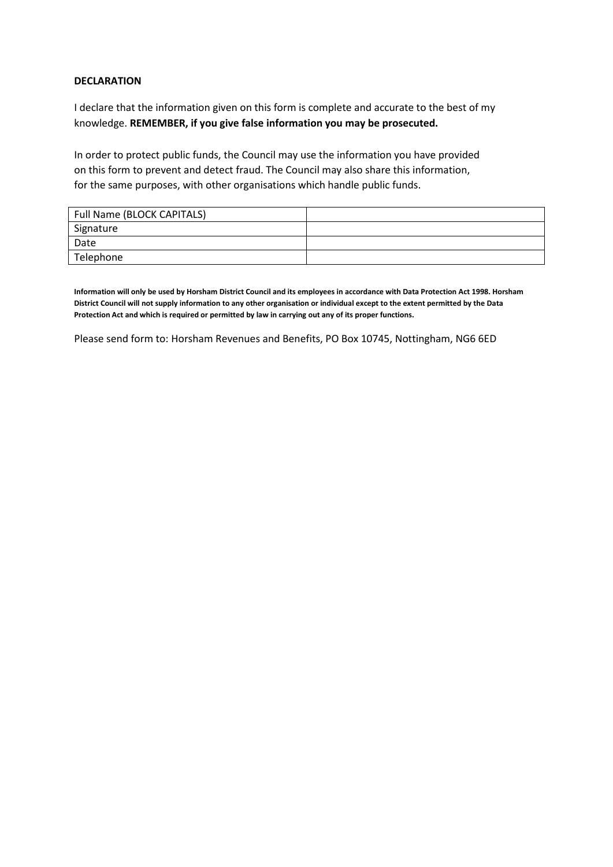#### **DECLARATION**

I declare that the information given on this form is complete and accurate to the best of my knowledge. **REMEMBER, if you give false information you may be prosecuted.**

In order to protect public funds, the Council may use the information you have provided on this form to prevent and detect fraud. The Council may also share this information, for the same purposes, with other organisations which handle public funds.

| Full Name (BLOCK CAPITALS) |  |
|----------------------------|--|
| Signature                  |  |
| Date                       |  |
| Telephone                  |  |

**Information will only be used by Horsham District Council and its employees in accordance with Data Protection Act 1998. Horsham District Council will not supply information to any other organisation or individual except to the extent permitted by the Data Protection Act and which is required or permitted by law in carrying out any of its proper functions.**

Please send form to: Horsham Revenues and Benefits, PO Box 10745, Nottingham, NG6 6ED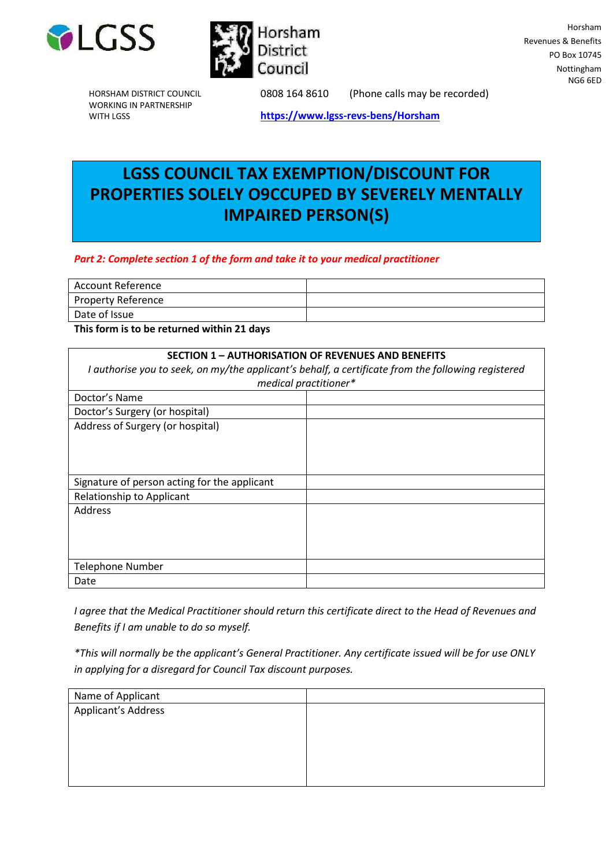



HORSHAM DISTRICT COUNCIL WORKING IN PARTNERSHIP WITH LGSS

0808 164 8610 (Phone calls may be recorded)

**<https://www.lgss-revs-bens/Horsham>**

# **LGSS COUNCIL TAX EXEMPTION/DISCOUNT FOR PROPERTIES SOLELY O9CCUPED BY SEVERELY MENTALLY IMPAIRED PERSON(S)**

### *Part 2: Complete section 1 of the form and take it to your medical practitioner*

| Account Reference         |  |
|---------------------------|--|
| <b>Property Reference</b> |  |
| Date of Issue             |  |

**This form is to be returned within 21 days**

| <b>SECTION 1 - AUTHORISATION OF REVENUES AND BENEFITS</b><br>I authorise you to seek, on my/the applicant's behalf, a certificate from the following registered<br>medical practitioner* |  |
|------------------------------------------------------------------------------------------------------------------------------------------------------------------------------------------|--|
| Doctor's Name                                                                                                                                                                            |  |
| Doctor's Surgery (or hospital)                                                                                                                                                           |  |
| Address of Surgery (or hospital)                                                                                                                                                         |  |
| Signature of person acting for the applicant                                                                                                                                             |  |
| Relationship to Applicant                                                                                                                                                                |  |
| Address                                                                                                                                                                                  |  |
| <b>Telephone Number</b>                                                                                                                                                                  |  |
| Date                                                                                                                                                                                     |  |

*I agree that the Medical Practitioner should return this certificate direct to the Head of Revenues and Benefits if I am unable to do so myself.*

*\*This will normally be the applicant's General Practitioner. Any certificate issued will be for use ONLY in applying for a disregard for Council Tax discount purposes.*

| Name of Applicant   |  |
|---------------------|--|
| Applicant's Address |  |
|                     |  |
|                     |  |
|                     |  |
|                     |  |
|                     |  |